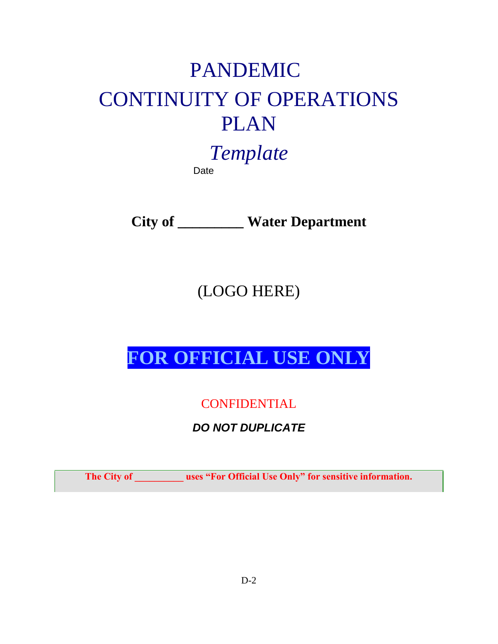# PANDEMIC CONTINUITY OF OPERATIONS PLAN

*Template*  Date

**City of \_\_\_\_\_\_\_\_\_ Water Department** 

(LOGO HERE)

**FOR OFFICIAL USE ONLY**

**CONFIDENTIAL** 

*DO NOT DUPLICATE* 

**The City of \_\_\_\_\_\_\_\_\_\_ uses "For Official Use Only" for sensitive information.**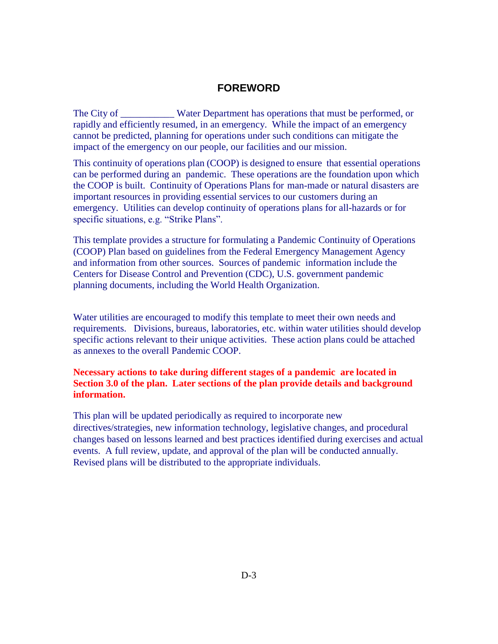#### **FOREWORD**

The City of \_\_\_\_\_\_\_\_\_\_\_ Water Department has operations that must be performed, or rapidly and efficiently resumed, in an emergency. While the impact of an emergency cannot be predicted, planning for operations under such conditions can mitigate the impact of the emergency on our people, our facilities and our mission.

This continuity of operations plan (COOP) is designed to ensure that essential operations can be performed during an pandemic. These operations are the foundation upon which the COOP is built. Continuity of Operations Plans for man-made or natural disasters are important resources in providing essential services to our customers during an emergency. Utilities can develop continuity of operations plans for all-hazards or for specific situations, e.g. "Strike Plans".

This template provides a structure for formulating a Pandemic Continuity of Operations (COOP) Plan based on guidelines from the Federal Emergency Management Agency and information from other sources. Sources of pandemic information include the Centers for Disease Control and Prevention (CDC), U.S. government pandemic planning documents, including the World Health Organization.

Water utilities are encouraged to modify this template to meet their own needs and requirements. Divisions, bureaus, laboratories, etc. within water utilities should develop specific actions relevant to their unique activities. These action plans could be attached as annexes to the overall Pandemic COOP.

#### **Necessary actions to take during different stages of a pandemic are located in Section 3.0 of the plan. Later sections of the plan provide details and background information.**

This plan will be updated periodically as required to incorporate new directives/strategies, new information technology, legislative changes, and procedural changes based on lessons learned and best practices identified during exercises and actual events. A full review, update, and approval of the plan will be conducted annually. Revised plans will be distributed to the appropriate individuals.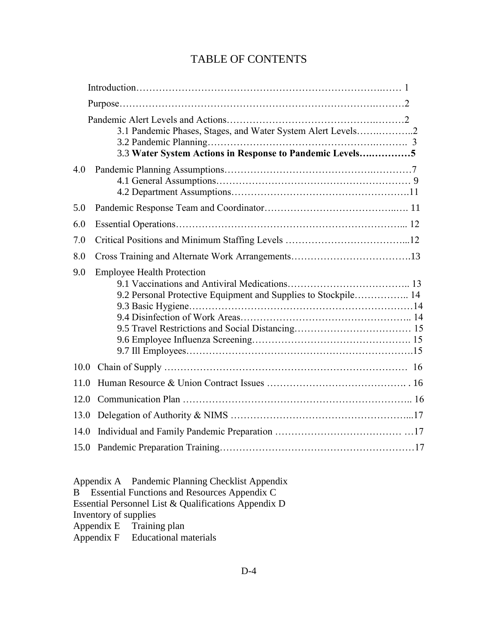### TABLE OF CONTENTS

|      | 3.1 Pandemic Phases, Stages, and Water System Alert Levels2<br>3.3 Water System Actions in Response to Pandemic Levels5 |  |
|------|-------------------------------------------------------------------------------------------------------------------------|--|
| 4.0  |                                                                                                                         |  |
| 5.0  |                                                                                                                         |  |
| 6.0  |                                                                                                                         |  |
| 7.0  |                                                                                                                         |  |
| 8.0  |                                                                                                                         |  |
| 9.0  | <b>Employee Health Protection</b><br>9.2 Personal Protective Equipment and Supplies to Stockpile 14                     |  |
| 10.0 |                                                                                                                         |  |
| 11.0 |                                                                                                                         |  |
| 12.0 |                                                                                                                         |  |
| 13.0 |                                                                                                                         |  |
| 14.0 |                                                                                                                         |  |
|      |                                                                                                                         |  |

Appendix A Pandemic Planning Checklist Appendix B Essential Functions and Resources Appendix C Essential Personnel List & Qualifications Appendix D Inventory of supplies Appendix E Training plan<br>Appendix F Educational m Educational materials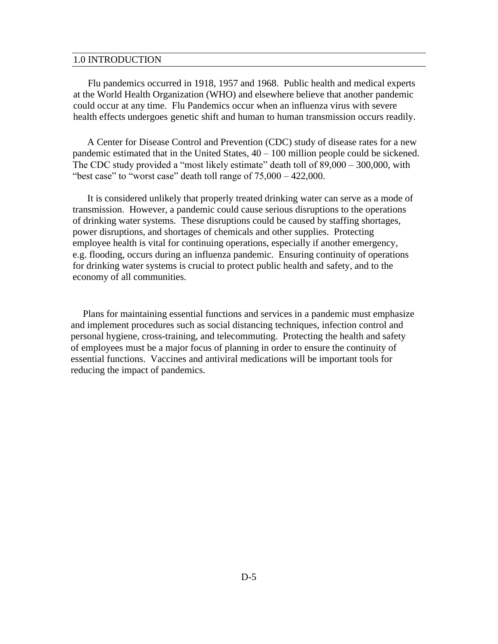#### 1.0 INTRODUCTION

Flu pandemics occurred in 1918, 1957 and 1968. Public health and medical experts at the World Health Organization (WHO) and elsewhere believe that another pandemic could occur at any time. Flu Pandemics occur when an influenza virus with severe health effects undergoes genetic shift and human to human transmission occurs readily.

A Center for Disease Control and Prevention (CDC) study of disease rates for a new pandemic estimated that in the United States, 40 – 100 million people could be sickened. The CDC study provided a "most likely estimate" death toll of 89,000 – 300,000, with "best case" to "worst case" death toll range of  $75,000 - 422,000$ .

It is considered unlikely that properly treated drinking water can serve as a mode of transmission. However, a pandemic could cause serious disruptions to the operations of drinking water systems. These disruptions could be caused by staffing shortages, power disruptions, and shortages of chemicals and other supplies. Protecting employee health is vital for continuing operations, especially if another emergency, e.g. flooding, occurs during an influenza pandemic. Ensuring continuity of operations for drinking water systems is crucial to protect public health and safety, and to the economy of all communities.

 Plans for maintaining essential functions and services in a pandemic must emphasize and implement procedures such as social distancing techniques, infection control and personal hygiene, cross-training, and telecommuting. Protecting the health and safety of employees must be a major focus of planning in order to ensure the continuity of essential functions. Vaccines and antiviral medications will be important tools for reducing the impact of pandemics.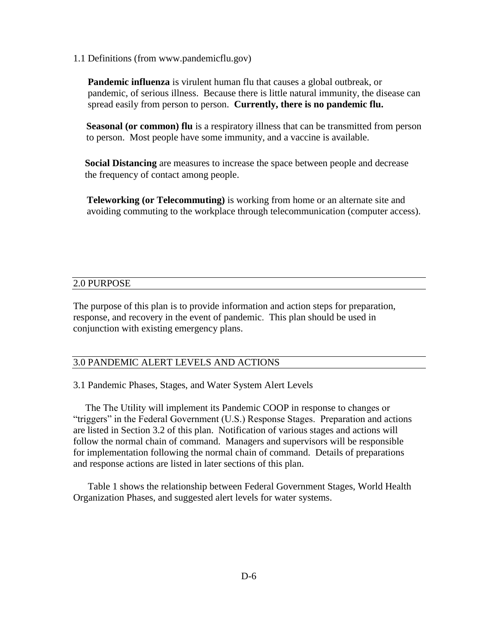1.1 Definitions (from www.pandemicflu.gov)

**Pandemic influenza** is virulent human flu that causes a global outbreak, or pandemic, of serious illness. Because there is little natural immunity, the disease can spread easily from person to person. **Currently, there is no pandemic flu.** 

**Seasonal (or common) flu** is a respiratory illness that can be transmitted from person to person. Most people have some immunity, and a vaccine is available.

**Social Distancing** are measures to increase the space between people and decrease the frequency of contact among people.

**Teleworking (or Telecommuting)** is working from home or an alternate site and avoiding commuting to the workplace through telecommunication (computer access).

#### 2.0 PURPOSE

The purpose of this plan is to provide information and action steps for preparation, response, and recovery in the event of pandemic. This plan should be used in conjunction with existing emergency plans.

#### 3.0 PANDEMIC ALERT LEVELS AND ACTIONS

3.1 Pandemic Phases, Stages, and Water System Alert Levels

The The Utility will implement its Pandemic COOP in response to changes or "triggers" in the Federal Government (U.S.) Response Stages. Preparation and actions are listed in Section 3.2 of this plan. Notification of various stages and actions will follow the normal chain of command. Managers and supervisors will be responsible for implementation following the normal chain of command. Details of preparations and response actions are listed in later sections of this plan.

 Table 1 shows the relationship between Federal Government Stages, World Health Organization Phases, and suggested alert levels for water systems.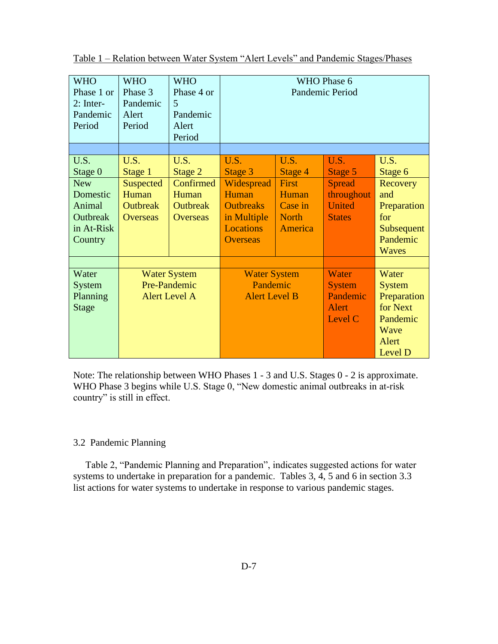| <b>WHO</b><br>Phase 1 or<br>$2:$ Inter-<br>Pandemic<br>Period                                              | <b>WHO</b><br>Phase 3<br>Pandemic<br>Alert<br>Period     | <b>WHO</b><br>Phase 4 or<br>5<br>Pandemic<br>Alert<br>Period | WHO Phase 6<br>Pandemic Period                                                                |                                                               |                                                                                           |                                                                          |
|------------------------------------------------------------------------------------------------------------|----------------------------------------------------------|--------------------------------------------------------------|-----------------------------------------------------------------------------------------------|---------------------------------------------------------------|-------------------------------------------------------------------------------------------|--------------------------------------------------------------------------|
| U.S.<br>Stage 0                                                                                            | U.S.<br>Stage 1                                          | U.S.<br>Stage 2                                              | U.S.<br>Stage 3                                                                               | U.S.<br>Stage 4                                               | U.S.<br>Stage 5                                                                           | U.S.<br>Stage 6                                                          |
| <b>New</b><br>Domestic<br>Animal<br><b>Outbreak</b><br>in At-Risk<br>Country                               | Suspected<br>Human<br><b>Outbreak</b><br><b>Overseas</b> | Confirmed<br>Human<br><b>Outbreak</b><br><b>Overseas</b>     | Widespread<br>Human<br><b>Outbreaks</b><br>in Multiple<br><b>Locations</b><br><b>Overseas</b> | First<br>Human<br>Case in<br><b>North</b><br>America          | <b>Spread</b><br>throughout<br><b>United</b><br><b>States</b>                             | Recovery<br>and<br>Preparation<br>for<br>Subsequent<br>Pandemic<br>Waves |
| Water<br><b>Water System</b><br>Pre-Pandemic<br>System<br><b>Alert Level A</b><br>Planning<br><b>Stage</b> |                                                          | <b>Water System</b><br>Pandemic<br><b>Alert Level B</b>      |                                                                                               | Water<br><b>System</b><br>Pandemic<br><b>Alert</b><br>Level C | Water<br><b>System</b><br>Preparation<br>for Next<br>Pandemic<br>Wave<br>Alert<br>Level D |                                                                          |

Table 1 – Relation between Water System "Alert Levels" and Pandemic Stages/Phases

Note: The relationship between WHO Phases 1 - 3 and U.S. Stages 0 - 2 is approximate. WHO Phase 3 begins while U.S. Stage 0, "New domestic animal outbreaks in at-risk country" is still in effect.

#### 3.2 Pandemic Planning

 Table 2, "Pandemic Planning and Preparation", indicates suggested actions for water systems to undertake in preparation for a pandemic. Tables 3, 4, 5 and 6 in section 3.3 list actions for water systems to undertake in response to various pandemic stages.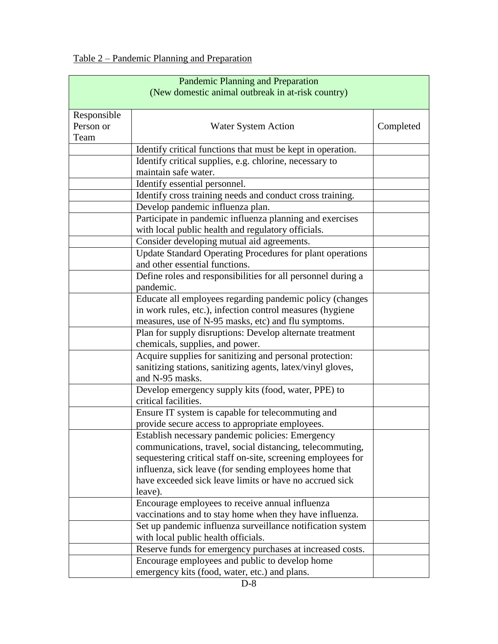Table 2 – Pandemic Planning and Preparation

| <b>Pandemic Planning and Preparation</b><br>(New domestic animal outbreak in at-risk country) |                                                                  |           |  |  |  |
|-----------------------------------------------------------------------------------------------|------------------------------------------------------------------|-----------|--|--|--|
|                                                                                               |                                                                  |           |  |  |  |
| Responsible                                                                                   |                                                                  |           |  |  |  |
| Person or                                                                                     | <b>Water System Action</b>                                       | Completed |  |  |  |
| Team                                                                                          |                                                                  |           |  |  |  |
|                                                                                               | Identify critical functions that must be kept in operation.      |           |  |  |  |
|                                                                                               | Identify critical supplies, e.g. chlorine, necessary to          |           |  |  |  |
|                                                                                               | maintain safe water.                                             |           |  |  |  |
|                                                                                               | Identify essential personnel.                                    |           |  |  |  |
|                                                                                               | Identify cross training needs and conduct cross training.        |           |  |  |  |
|                                                                                               | Develop pandemic influenza plan.                                 |           |  |  |  |
|                                                                                               | Participate in pandemic influenza planning and exercises         |           |  |  |  |
|                                                                                               | with local public health and regulatory officials.               |           |  |  |  |
|                                                                                               | Consider developing mutual aid agreements.                       |           |  |  |  |
|                                                                                               | <b>Update Standard Operating Procedures for plant operations</b> |           |  |  |  |
|                                                                                               | and other essential functions.                                   |           |  |  |  |
|                                                                                               | Define roles and responsibilities for all personnel during a     |           |  |  |  |
|                                                                                               | pandemic.                                                        |           |  |  |  |
|                                                                                               | Educate all employees regarding pandemic policy (changes         |           |  |  |  |
|                                                                                               | in work rules, etc.), infection control measures (hygiene        |           |  |  |  |
|                                                                                               | measures, use of N-95 masks, etc) and flu symptoms.              |           |  |  |  |
|                                                                                               | Plan for supply disruptions: Develop alternate treatment         |           |  |  |  |
|                                                                                               | chemicals, supplies, and power.                                  |           |  |  |  |
|                                                                                               | Acquire supplies for sanitizing and personal protection:         |           |  |  |  |
|                                                                                               | sanitizing stations, sanitizing agents, latex/vinyl gloves,      |           |  |  |  |
|                                                                                               | and N-95 masks.                                                  |           |  |  |  |
|                                                                                               | Develop emergency supply kits (food, water, PPE) to              |           |  |  |  |
|                                                                                               | critical facilities.                                             |           |  |  |  |
|                                                                                               | Ensure IT system is capable for telecommuting and                |           |  |  |  |
|                                                                                               | provide secure access to appropriate employees.                  |           |  |  |  |
|                                                                                               | Establish necessary pandemic policies: Emergency                 |           |  |  |  |
|                                                                                               | communications, travel, social distancing, telecommuting,        |           |  |  |  |
|                                                                                               | sequestering critical staff on-site, screening employees for     |           |  |  |  |
|                                                                                               | influenza, sick leave (for sending employees home that           |           |  |  |  |
|                                                                                               | have exceeded sick leave limits or have no accrued sick          |           |  |  |  |
|                                                                                               | leave).                                                          |           |  |  |  |
|                                                                                               | Encourage employees to receive annual influenza                  |           |  |  |  |
|                                                                                               | vaccinations and to stay home when they have influenza.          |           |  |  |  |
|                                                                                               | Set up pandemic influenza surveillance notification system       |           |  |  |  |
|                                                                                               | with local public health officials.                              |           |  |  |  |
|                                                                                               | Reserve funds for emergency purchases at increased costs.        |           |  |  |  |
|                                                                                               | Encourage employees and public to develop home                   |           |  |  |  |
|                                                                                               | emergency kits (food, water, etc.) and plans.                    |           |  |  |  |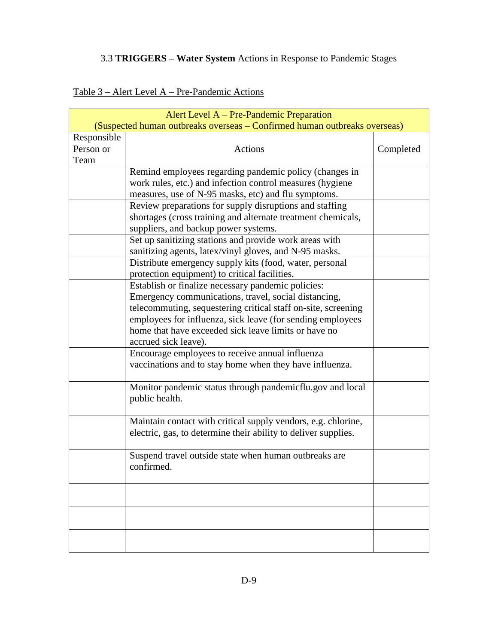#### 3.3 **TRIGGERS – Water System** Actions in Response to Pandemic Stages

| Alert Level A – Pre-Pandemic Preparation<br>(Suspected human outbreaks overseas – Confirmed human outbreaks overseas) |                                                                             |           |  |  |  |  |  |
|-----------------------------------------------------------------------------------------------------------------------|-----------------------------------------------------------------------------|-----------|--|--|--|--|--|
|                                                                                                                       | Responsible                                                                 |           |  |  |  |  |  |
| Person or                                                                                                             | <b>Actions</b>                                                              | Completed |  |  |  |  |  |
| Team                                                                                                                  |                                                                             |           |  |  |  |  |  |
|                                                                                                                       | Remind employees regarding pandemic policy (changes in                      |           |  |  |  |  |  |
|                                                                                                                       |                                                                             |           |  |  |  |  |  |
|                                                                                                                       | work rules, etc.) and infection control measures (hygiene                   |           |  |  |  |  |  |
|                                                                                                                       | measures, use of N-95 masks, etc) and flu symptoms.                         |           |  |  |  |  |  |
|                                                                                                                       | Review preparations for supply disruptions and staffing                     |           |  |  |  |  |  |
|                                                                                                                       | shortages (cross training and alternate treatment chemicals,                |           |  |  |  |  |  |
|                                                                                                                       | suppliers, and backup power systems.                                        |           |  |  |  |  |  |
|                                                                                                                       | Set up sanitizing stations and provide work areas with                      |           |  |  |  |  |  |
|                                                                                                                       | sanitizing agents, latex/vinyl gloves, and N-95 masks.                      |           |  |  |  |  |  |
|                                                                                                                       | Distribute emergency supply kits (food, water, personal                     |           |  |  |  |  |  |
|                                                                                                                       | protection equipment) to critical facilities.                               |           |  |  |  |  |  |
|                                                                                                                       | Establish or finalize necessary pandemic policies:                          |           |  |  |  |  |  |
|                                                                                                                       | Emergency communications, travel, social distancing,                        |           |  |  |  |  |  |
|                                                                                                                       | telecommuting, sequestering critical staff on-site, screening               |           |  |  |  |  |  |
|                                                                                                                       | employees for influenza, sick leave (for sending employees                  |           |  |  |  |  |  |
|                                                                                                                       | home that have exceeded sick leave limits or have no                        |           |  |  |  |  |  |
|                                                                                                                       | accrued sick leave).                                                        |           |  |  |  |  |  |
|                                                                                                                       | Encourage employees to receive annual influenza                             |           |  |  |  |  |  |
|                                                                                                                       | vaccinations and to stay home when they have influenza.                     |           |  |  |  |  |  |
|                                                                                                                       | Monitor pandemic status through pandemicflu.gov and local<br>public health. |           |  |  |  |  |  |
|                                                                                                                       | Maintain contact with critical supply vendors, e.g. chlorine,               |           |  |  |  |  |  |
|                                                                                                                       | electric, gas, to determine their ability to deliver supplies.              |           |  |  |  |  |  |
|                                                                                                                       | Suspend travel outside state when human outbreaks are<br>confirmed.         |           |  |  |  |  |  |
|                                                                                                                       |                                                                             |           |  |  |  |  |  |
|                                                                                                                       |                                                                             |           |  |  |  |  |  |
|                                                                                                                       |                                                                             |           |  |  |  |  |  |

#### Table 3 – Alert Level A – Pre-Pandemic Actions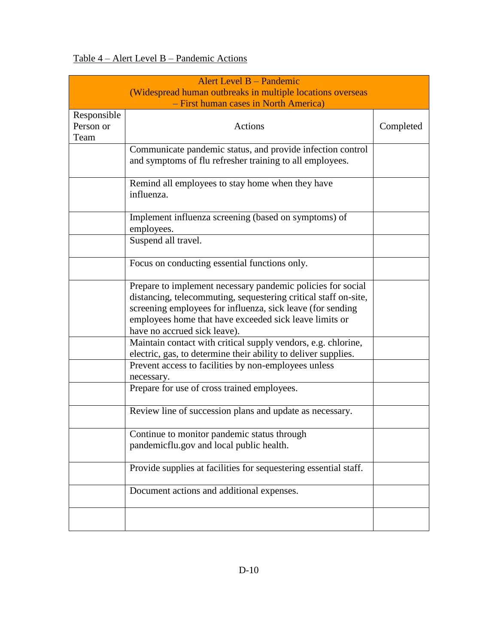# Table 4 – Alert Level B – Pandemic Actions

|                                  | Alert Level B – Pandemic<br>(Widespread human outbreaks in multiple locations overseas<br>- First human cases in North America)                                                                                                                                                        |           |
|----------------------------------|----------------------------------------------------------------------------------------------------------------------------------------------------------------------------------------------------------------------------------------------------------------------------------------|-----------|
| Responsible<br>Person or<br>Team | <b>Actions</b>                                                                                                                                                                                                                                                                         | Completed |
|                                  | Communicate pandemic status, and provide infection control<br>and symptoms of flu refresher training to all employees.                                                                                                                                                                 |           |
|                                  | Remind all employees to stay home when they have<br>influenza.                                                                                                                                                                                                                         |           |
|                                  | Implement influenza screening (based on symptoms) of<br>employees.                                                                                                                                                                                                                     |           |
|                                  | Suspend all travel.                                                                                                                                                                                                                                                                    |           |
|                                  | Focus on conducting essential functions only.                                                                                                                                                                                                                                          |           |
|                                  | Prepare to implement necessary pandemic policies for social<br>distancing, telecommuting, sequestering critical staff on-site,<br>screening employees for influenza, sick leave (for sending<br>employees home that have exceeded sick leave limits or<br>have no accrued sick leave). |           |
|                                  | Maintain contact with critical supply vendors, e.g. chlorine,<br>electric, gas, to determine their ability to deliver supplies.                                                                                                                                                        |           |
|                                  | Prevent access to facilities by non-employees unless<br>necessary.                                                                                                                                                                                                                     |           |
|                                  | Prepare for use of cross trained employees.                                                                                                                                                                                                                                            |           |
|                                  | Review line of succession plans and update as necessary.                                                                                                                                                                                                                               |           |
|                                  | Continue to monitor pandemic status through<br>pandemicflu.gov and local public health.                                                                                                                                                                                                |           |
|                                  | Provide supplies at facilities for sequestering essential staff.                                                                                                                                                                                                                       |           |
|                                  | Document actions and additional expenses.                                                                                                                                                                                                                                              |           |
|                                  |                                                                                                                                                                                                                                                                                        |           |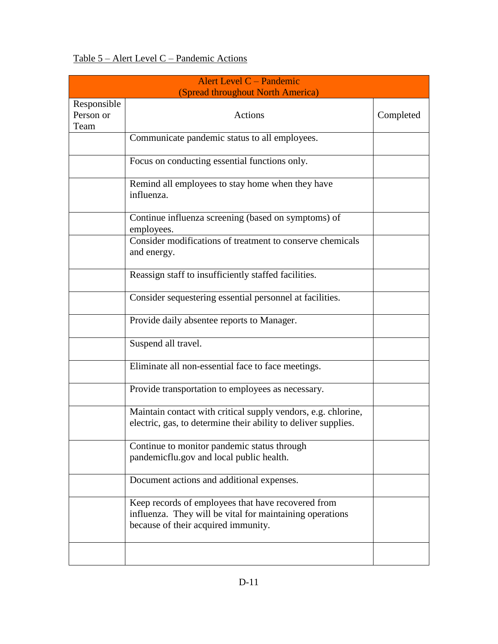#### Table 5 – Alert Level C – Pandemic Actions

|                                  | Alert Level C – Pandemic<br>(Spread throughout North America)                                                                                         |           |
|----------------------------------|-------------------------------------------------------------------------------------------------------------------------------------------------------|-----------|
| Responsible<br>Person or<br>Team | Actions                                                                                                                                               | Completed |
|                                  | Communicate pandemic status to all employees.                                                                                                         |           |
|                                  | Focus on conducting essential functions only.                                                                                                         |           |
|                                  | Remind all employees to stay home when they have<br>influenza.                                                                                        |           |
|                                  | Continue influenza screening (based on symptoms) of<br>employees.                                                                                     |           |
|                                  | Consider modifications of treatment to conserve chemicals<br>and energy.                                                                              |           |
|                                  | Reassign staff to insufficiently staffed facilities.                                                                                                  |           |
|                                  | Consider sequestering essential personnel at facilities.                                                                                              |           |
|                                  | Provide daily absentee reports to Manager.                                                                                                            |           |
|                                  | Suspend all travel.                                                                                                                                   |           |
|                                  | Eliminate all non-essential face to face meetings.                                                                                                    |           |
|                                  | Provide transportation to employees as necessary.                                                                                                     |           |
|                                  | Maintain contact with critical supply vendors, e.g. chlorine,<br>electric, gas, to determine their ability to deliver supplies.                       |           |
|                                  | Continue to monitor pandemic status through<br>pandemicflu.gov and local public health.                                                               |           |
|                                  | Document actions and additional expenses.                                                                                                             |           |
|                                  | Keep records of employees that have recovered from<br>influenza. They will be vital for maintaining operations<br>because of their acquired immunity. |           |
|                                  |                                                                                                                                                       |           |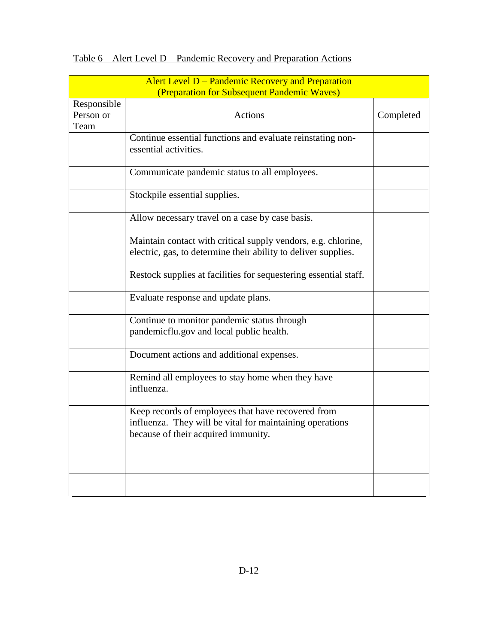|                                  | Alert Level D – Pandemic Recovery and Preparation                                                                                                     |           |
|----------------------------------|-------------------------------------------------------------------------------------------------------------------------------------------------------|-----------|
|                                  | (Preparation for Subsequent Pandemic Waves)                                                                                                           |           |
| Responsible<br>Person or<br>Team | <b>Actions</b>                                                                                                                                        | Completed |
|                                  | Continue essential functions and evaluate reinstating non-<br>essential activities.                                                                   |           |
|                                  | Communicate pandemic status to all employees.                                                                                                         |           |
|                                  | Stockpile essential supplies.                                                                                                                         |           |
|                                  | Allow necessary travel on a case by case basis.                                                                                                       |           |
|                                  | Maintain contact with critical supply vendors, e.g. chlorine,<br>electric, gas, to determine their ability to deliver supplies.                       |           |
|                                  | Restock supplies at facilities for sequestering essential staff.                                                                                      |           |
|                                  | Evaluate response and update plans.                                                                                                                   |           |
|                                  | Continue to monitor pandemic status through<br>pandemicflu.gov and local public health.                                                               |           |
|                                  | Document actions and additional expenses.                                                                                                             |           |
|                                  | Remind all employees to stay home when they have<br>influenza.                                                                                        |           |
|                                  | Keep records of employees that have recovered from<br>influenza. They will be vital for maintaining operations<br>because of their acquired immunity. |           |
|                                  |                                                                                                                                                       |           |
|                                  |                                                                                                                                                       |           |

## Table 6 – Alert Level D – Pandemic Recovery and Preparation Actions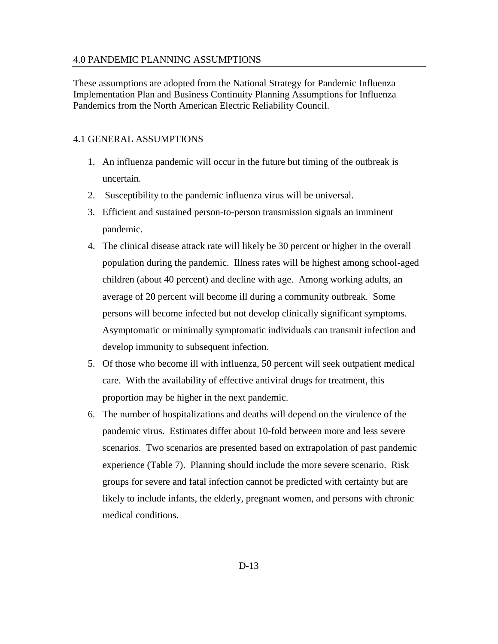#### 4.0 PANDEMIC PLANNING ASSUMPTIONS

These assumptions are adopted from the National Strategy for Pandemic Influenza Implementation Plan and Business Continuity Planning Assumptions for Influenza Pandemics from the North American Electric Reliability Council.

#### 4.1 GENERAL ASSUMPTIONS

- 1. An influenza pandemic will occur in the future but timing of the outbreak is uncertain.
- 2. Susceptibility to the pandemic influenza virus will be universal.
- 3. Efficient and sustained person-to-person transmission signals an imminent pandemic.
- 4. The clinical disease attack rate will likely be 30 percent or higher in the overall population during the pandemic. Illness rates will be highest among school-aged children (about 40 percent) and decline with age. Among working adults, an average of 20 percent will become ill during a community outbreak. Some persons will become infected but not develop clinically significant symptoms. Asymptomatic or minimally symptomatic individuals can transmit infection and develop immunity to subsequent infection.
- 5. Of those who become ill with influenza, 50 percent will seek outpatient medical care. With the availability of effective antiviral drugs for treatment, this proportion may be higher in the next pandemic.
- 6. The number of hospitalizations and deaths will depend on the virulence of the pandemic virus. Estimates differ about 10-fold between more and less severe scenarios. Two scenarios are presented based on extrapolation of past pandemic experience (Table 7). Planning should include the more severe scenario. Risk groups for severe and fatal infection cannot be predicted with certainty but are likely to include infants, the elderly, pregnant women, and persons with chronic medical conditions.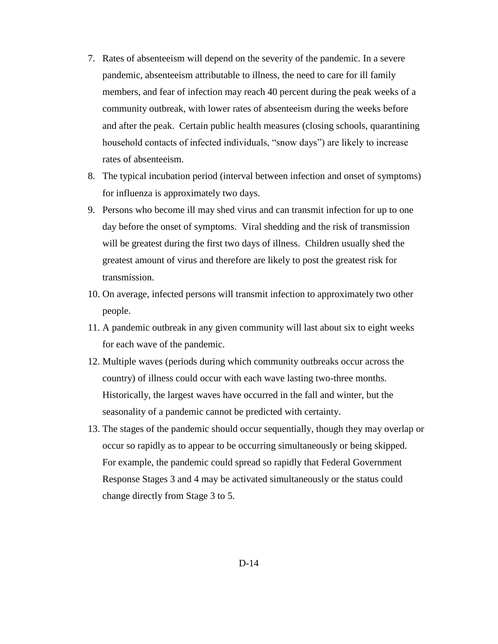- 7. Rates of absenteeism will depend on the severity of the pandemic. In a severe pandemic, absenteeism attributable to illness, the need to care for ill family members, and fear of infection may reach 40 percent during the peak weeks of a community outbreak, with lower rates of absenteeism during the weeks before and after the peak. Certain public health measures (closing schools, quarantining household contacts of infected individuals, "snow days") are likely to increase rates of absenteeism.
- 8. The typical incubation period (interval between infection and onset of symptoms) for influenza is approximately two days.
- 9. Persons who become ill may shed virus and can transmit infection for up to one day before the onset of symptoms. Viral shedding and the risk of transmission will be greatest during the first two days of illness. Children usually shed the greatest amount of virus and therefore are likely to post the greatest risk for transmission.
- 10. On average, infected persons will transmit infection to approximately two other people.
- 11. A pandemic outbreak in any given community will last about six to eight weeks for each wave of the pandemic.
- 12. Multiple waves (periods during which community outbreaks occur across the country) of illness could occur with each wave lasting two-three months. Historically, the largest waves have occurred in the fall and winter, but the seasonality of a pandemic cannot be predicted with certainty.
- 13. The stages of the pandemic should occur sequentially, though they may overlap or occur so rapidly as to appear to be occurring simultaneously or being skipped. For example, the pandemic could spread so rapidly that Federal Government Response Stages 3 and 4 may be activated simultaneously or the status could change directly from Stage 3 to 5.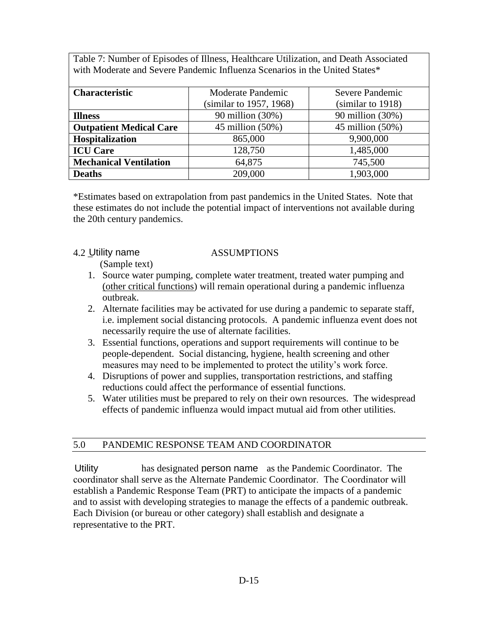Table 7: Number of Episodes of Illness, Healthcare Utilization, and Death Associated with Moderate and Severe Pandemic Influenza Scenarios in the United States\*

| <b>Characteristic</b>          | Moderate Pandemic       | Severe Pandemic     |  |
|--------------------------------|-------------------------|---------------------|--|
|                                | (similar to 1957, 1968) | (similar to 1918)   |  |
| <b>Illness</b>                 | 90 million (30%)        | 90 million (30%)    |  |
| <b>Outpatient Medical Care</b> | 45 million $(50\%)$     | 45 million $(50\%)$ |  |
| Hospitalization                | 865,000                 | 9,900,000           |  |
| <b>ICU Care</b>                | 128,750                 | 1,485,000           |  |
| <b>Mechanical Ventilation</b>  | 64,875                  | 745,500             |  |
| <b>Deaths</b>                  | 209,000                 | 1,903,000           |  |

\*Estimates based on extrapolation from past pandemics in the United States. Note that these estimates do not include the potential impact of interventions not available during the 20th century pandemics.

#### 4.2 Utility name ASSUMPTIONS

(Sample text)

- 1. Source water pumping, complete water treatment, treated water pumping and (other critical functions) will remain operational during a pandemic influenza outbreak.
- 2. Alternate facilities may be activated for use during a pandemic to separate staff, i.e. implement social distancing protocols. A pandemic influenza event does not necessarily require the use of alternate facilities.
- 3. Essential functions, operations and support requirements will continue to be people-dependent. Social distancing, hygiene, health screening and other measures may need to be implemented to protect the utility's work force.
- 4. Disruptions of power and supplies, transportation restrictions, and staffing reductions could affect the performance of essential functions.
- 5. Water utilities must be prepared to rely on their own resources. The widespread effects of pandemic influenza would impact mutual aid from other utilities.

#### 5.0 PANDEMIC RESPONSE TEAM AND COORDINATOR

Utility has designated person name as the Pandemic Coordinator. The coordinator shall serve as the Alternate Pandemic Coordinator. The Coordinator will establish a Pandemic Response Team (PRT) to anticipate the impacts of a pandemic and to assist with developing strategies to manage the effects of a pandemic outbreak. Each Division (or bureau or other category) shall establish and designate a representative to the PRT.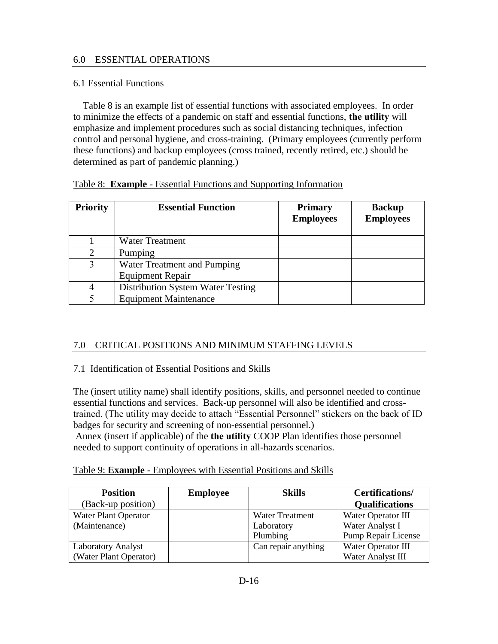#### 6.0 ESSENTIAL OPERATIONS

#### 6.1 Essential Functions

 Table 8 is an example list of essential functions with associated employees. In order to minimize the effects of a pandemic on staff and essential functions, **the utility** will emphasize and implement procedures such as social distancing techniques, infection control and personal hygiene, and cross-training. (Primary employees (currently perform these functions) and backup employees (cross trained, recently retired, etc.) should be determined as part of pandemic planning.)

| <b>Priority</b> | <b>Essential Function</b>         | <b>Primary</b><br><b>Employees</b> | <b>Backup</b><br><b>Employees</b> |
|-----------------|-----------------------------------|------------------------------------|-----------------------------------|
|                 | <b>Water Treatment</b>            |                                    |                                   |
| $\mathcal{D}$   | Pumping                           |                                    |                                   |
| 3               | Water Treatment and Pumping       |                                    |                                   |
|                 | <b>Equipment Repair</b>           |                                    |                                   |
|                 | Distribution System Water Testing |                                    |                                   |
|                 | <b>Equipment Maintenance</b>      |                                    |                                   |

#### Table 8: **Example** - Essential Functions and Supporting Information

#### 7.0 CRITICAL POSITIONS AND MINIMUM STAFFING LEVELS

#### 7.1 Identification of Essential Positions and Skills

The (insert utility name) shall identify positions, skills, and personnel needed to continue essential functions and services. Back-up personnel will also be identified and crosstrained. (The utility may decide to attach "Essential Personnel" stickers on the back of ID badges for security and screening of non-essential personnel.)

 Annex (insert if applicable) of the **the utility** COOP Plan identifies those personnel needed to support continuity of operations in all-hazards scenarios.

| Table 9: <b>Example</b> - Employees with Essential Positions and Skills |  |  |  |
|-------------------------------------------------------------------------|--|--|--|
|                                                                         |  |  |  |

| <b>Position</b>           | <b>Employee</b> | <b>Skills</b>          | <b>Certifications/</b> |
|---------------------------|-----------------|------------------------|------------------------|
| (Back-up position)        |                 |                        | <b>Qualifications</b>  |
| Water Plant Operator      |                 | <b>Water Treatment</b> | Water Operator III     |
| (Maintenance)             |                 | Laboratory             | Water Analyst I        |
|                           |                 | Plumbing               | Pump Repair License    |
| <b>Laboratory Analyst</b> |                 | Can repair anything    | Water Operator III     |
| (Water Plant Operator)    |                 |                        | Water Analyst III      |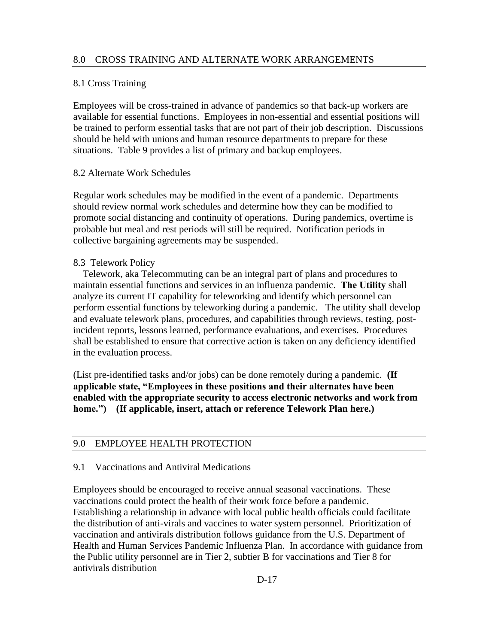#### 8.0 CROSS TRAINING AND ALTERNATE WORK ARRANGEMENTS

#### 8.1 Cross Training

Employees will be cross-trained in advance of pandemics so that back-up workers are available for essential functions. Employees in non-essential and essential positions will be trained to perform essential tasks that are not part of their job description. Discussions should be held with unions and human resource departments to prepare for these situations. Table 9 provides a list of primary and backup employees.

#### 8.2 Alternate Work Schedules

Regular work schedules may be modified in the event of a pandemic. Departments should review normal work schedules and determine how they can be modified to promote social distancing and continuity of operations. During pandemics, overtime is probable but meal and rest periods will still be required. Notification periods in collective bargaining agreements may be suspended.

#### 8.3 Telework Policy

 Telework, aka Telecommuting can be an integral part of plans and procedures to maintain essential functions and services in an influenza pandemic. **The Utility** shall analyze its current IT capability for teleworking and identify which personnel can perform essential functions by teleworking during a pandemic. The utility shall develop and evaluate telework plans, procedures, and capabilities through reviews, testing, postincident reports, lessons learned, performance evaluations, and exercises. Procedures shall be established to ensure that corrective action is taken on any deficiency identified in the evaluation process.

(List pre-identified tasks and/or jobs) can be done remotely during a pandemic. **(If applicable state, "Employees in these positions and their alternates have been enabled with the appropriate security to access electronic networks and work from home.") (If applicable, insert, attach or reference Telework Plan here.)** 

#### 9.0 EMPLOYEE HEALTH PROTECTION

#### 9.1 Vaccinations and Antiviral Medications

Employees should be encouraged to receive annual seasonal vaccinations. These vaccinations could protect the health of their work force before a pandemic. Establishing a relationship in advance with local public health officials could facilitate the distribution of anti-virals and vaccines to water system personnel. Prioritization of vaccination and antivirals distribution follows guidance from the U.S. Department of Health and Human Services Pandemic Influenza Plan. In accordance with guidance from the Public utility personnel are in Tier 2, subtier B for vaccinations and Tier 8 for antivirals distribution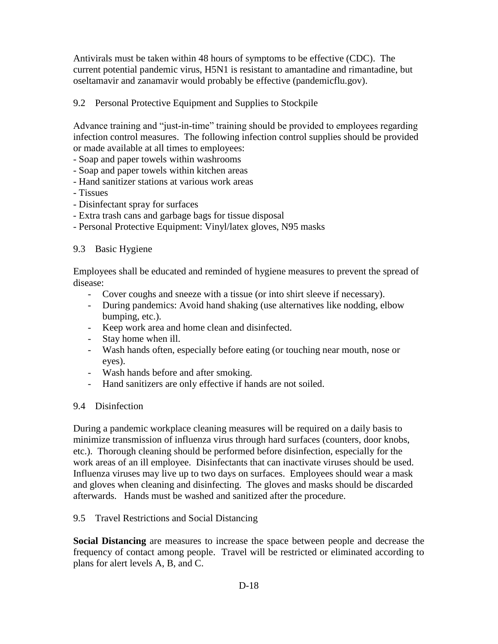Antivirals must be taken within 48 hours of symptoms to be effective (CDC). The current potential pandemic virus, H5N1 is resistant to amantadine and rimantadine, but oseltamavir and zanamavir would probably be effective (pandemicflu.gov).

#### 9.2 Personal Protective Equipment and Supplies to Stockpile

Advance training and "just-in-time" training should be provided to employees regarding infection control measures. The following infection control supplies should be provided or made available at all times to employees:

- Soap and paper towels within washrooms
- Soap and paper towels within kitchen areas
- Hand sanitizer stations at various work areas
- Tissues
- Disinfectant spray for surfaces
- Extra trash cans and garbage bags for tissue disposal
- Personal Protective Equipment: Vinyl/latex gloves, N95 masks

#### 9.3 Basic Hygiene

Employees shall be educated and reminded of hygiene measures to prevent the spread of disease:

- Cover coughs and sneeze with a tissue (or into shirt sleeve if necessary).
- During pandemics: Avoid hand shaking (use alternatives like nodding, elbow bumping, etc.).
- Keep work area and home clean and disinfected.
- Stay home when ill.
- Wash hands often, especially before eating (or touching near mouth, nose or eyes).
- Wash hands before and after smoking.
- Hand sanitizers are only effective if hands are not soiled.

#### 9.4 Disinfection

During a pandemic workplace cleaning measures will be required on a daily basis to minimize transmission of influenza virus through hard surfaces (counters, door knobs, etc.). Thorough cleaning should be performed before disinfection, especially for the work areas of an ill employee. Disinfectants that can inactivate viruses should be used. Influenza viruses may live up to two days on surfaces. Employees should wear a mask and gloves when cleaning and disinfecting. The gloves and masks should be discarded afterwards. Hands must be washed and sanitized after the procedure.

#### 9.5 Travel Restrictions and Social Distancing

**Social Distancing** are measures to increase the space between people and decrease the frequency of contact among people. Travel will be restricted or eliminated according to plans for alert levels A, B, and C.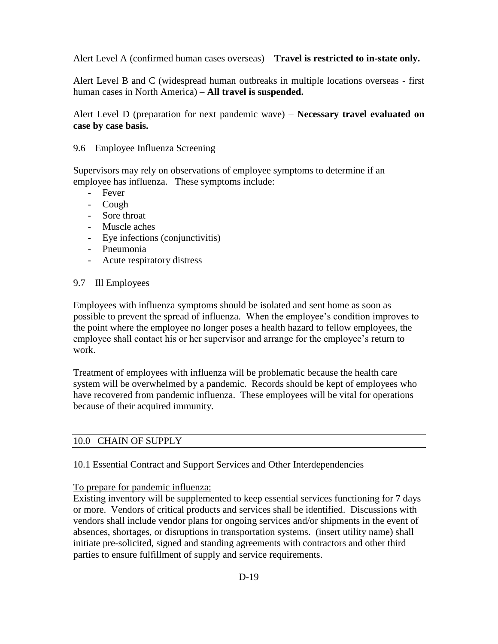Alert Level A (confirmed human cases overseas) – **Travel is restricted to in-state only.**

Alert Level B and C (widespread human outbreaks in multiple locations overseas - first human cases in North America) – **All travel is suspended.**

Alert Level D (preparation for next pandemic wave) – **Necessary travel evaluated on case by case basis.** 

#### 9.6 Employee Influenza Screening

Supervisors may rely on observations of employee symptoms to determine if an employee has influenza. These symptoms include:

- Fever
- Cough
- Sore throat
- Muscle aches
- Eye infections (conjunctivitis)
- Pneumonia
- Acute respiratory distress

#### 9.7 Ill Employees

Employees with influenza symptoms should be isolated and sent home as soon as possible to prevent the spread of influenza. When the employee's condition improves to the point where the employee no longer poses a health hazard to fellow employees, the employee shall contact his or her supervisor and arrange for the employee's return to work.

Treatment of employees with influenza will be problematic because the health care system will be overwhelmed by a pandemic. Records should be kept of employees who have recovered from pandemic influenza. These employees will be vital for operations because of their acquired immunity.

#### 10.0 CHAIN OF SUPPLY

10.1 Essential Contract and Support Services and Other Interdependencies

#### To prepare for pandemic influenza:

Existing inventory will be supplemented to keep essential services functioning for 7 days or more. Vendors of critical products and services shall be identified. Discussions with vendors shall include vendor plans for ongoing services and/or shipments in the event of absences, shortages, or disruptions in transportation systems. (insert utility name) shall initiate pre-solicited, signed and standing agreements with contractors and other third parties to ensure fulfillment of supply and service requirements.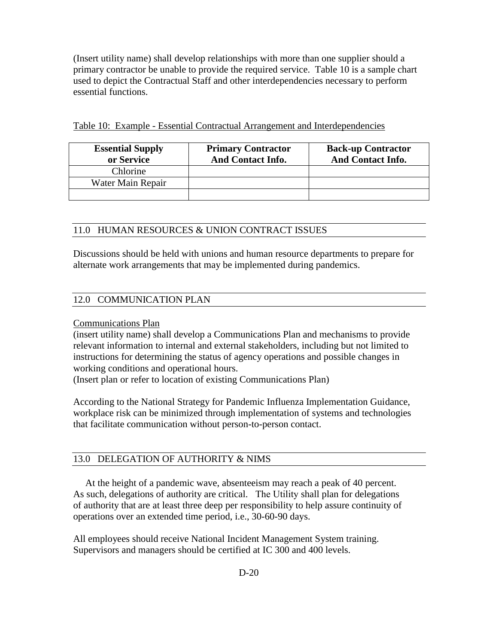(Insert utility name) shall develop relationships with more than one supplier should a primary contractor be unable to provide the required service. Table 10 is a sample chart used to depict the Contractual Staff and other interdependencies necessary to perform essential functions.

| <b>Essential Supply</b><br>or Service | <b>Primary Contractor</b><br><b>And Contact Info.</b> | <b>Back-up Contractor</b><br><b>And Contact Info.</b> |
|---------------------------------------|-------------------------------------------------------|-------------------------------------------------------|
| Chlorine                              |                                                       |                                                       |
| Water Main Repair                     |                                                       |                                                       |
|                                       |                                                       |                                                       |

#### 11.0 HUMAN RESOURCES & UNION CONTRACT ISSUES

Discussions should be held with unions and human resource departments to prepare for alternate work arrangements that may be implemented during pandemics.

#### 12.0 COMMUNICATION PLAN

#### Communications Plan

(insert utility name) shall develop a Communications Plan and mechanisms to provide relevant information to internal and external stakeholders, including but not limited to instructions for determining the status of agency operations and possible changes in working conditions and operational hours.

(Insert plan or refer to location of existing Communications Plan)

According to the National Strategy for Pandemic Influenza Implementation Guidance, workplace risk can be minimized through implementation of systems and technologies that facilitate communication without person-to-person contact.

#### 13.0 DELEGATION OF AUTHORITY & NIMS

 At the height of a pandemic wave, absenteeism may reach a peak of 40 percent. As such, delegations of authority are critical. The Utility shall plan for delegations of authority that are at least three deep per responsibility to help assure continuity of operations over an extended time period, i.e., 30-60-90 days.

All employees should receive National Incident Management System training. Supervisors and managers should be certified at IC 300 and 400 levels.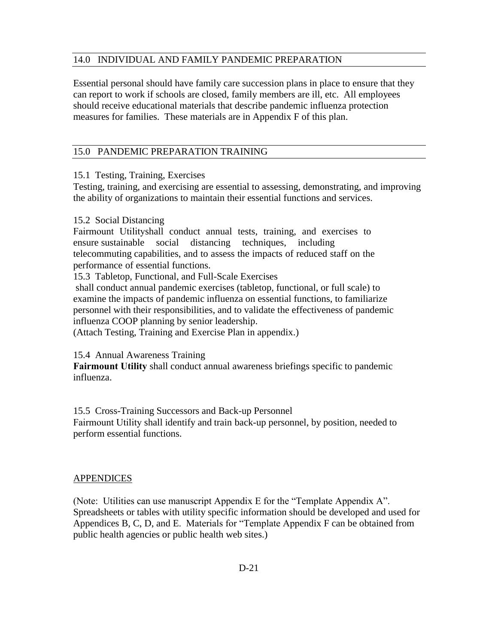#### 14.0 INDIVIDUAL AND FAMILY PANDEMIC PREPARATION

Essential personal should have family care succession plans in place to ensure that they can report to work if schools are closed, family members are ill, etc. All employees should receive educational materials that describe pandemic influenza protection measures for families. These materials are in Appendix F of this plan.

#### 15.0 PANDEMIC PREPARATION TRAINING

15.1 Testing, Training, Exercises

Testing, training, and exercising are essential to assessing, demonstrating, and improving the ability of organizations to maintain their essential functions and services.

#### 15.2 Social Distancing

Fairmount Utilityshall conduct annual tests, training, and exercises to ensure sustainable social distancing techniques, including telecommuting capabilities, and to assess the impacts of reduced staff on the performance of essential functions.

15.3 Tabletop, Functional, and Full-Scale Exercises

shall conduct annual pandemic exercises (tabletop, functional, or full scale) to examine the impacts of pandemic influenza on essential functions, to familiarize personnel with their responsibilities, and to validate the effectiveness of pandemic influenza COOP planning by senior leadership.

(Attach Testing, Training and Exercise Plan in appendix.)

#### 15.4 Annual Awareness Training

**Fairmount Utility** shall conduct annual awareness briefings specific to pandemic influenza.

15.5 Cross-Training Successors and Back-up Personnel

Fairmount Utility shall identify and train back-up personnel, by position, needed to perform essential functions.

#### **APPENDICES**

(Note: Utilities can use manuscript Appendix E for the "Template Appendix A". Spreadsheets or tables with utility specific information should be developed and used for Appendices B, C, D, and E. Materials for "Template Appendix F can be obtained from public health agencies or public health web sites.)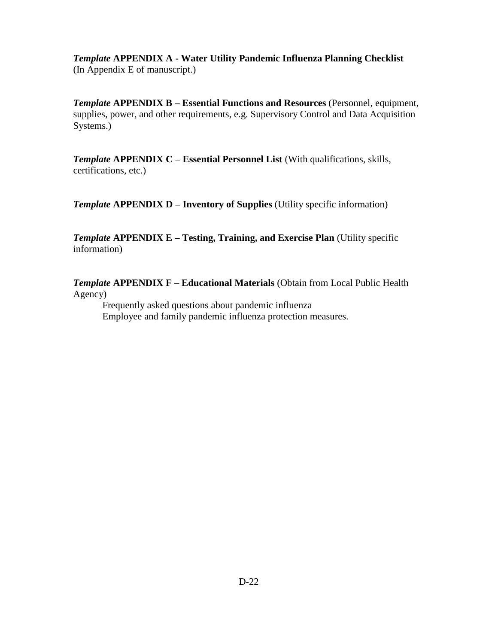*Template* **APPENDIX A - Water Utility Pandemic Influenza Planning Checklist**  (In Appendix E of manuscript.)

*Template* **APPENDIX B – Essential Functions and Resources** (Personnel, equipment, supplies, power, and other requirements, e.g. Supervisory Control and Data Acquisition Systems.)

*Template* **APPENDIX C – Essential Personnel List** (With qualifications, skills, certifications, etc.)

*Template* **APPENDIX D – Inventory of Supplies** (Utility specific information)

**Template APPENDIX E – Testing, Training, and Exercise Plan (Utility specific)** information)

*Template* **APPENDIX F – Educational Materials** (Obtain from Local Public Health Agency)

Frequently asked questions about pandemic influenza Employee and family pandemic influenza protection measures.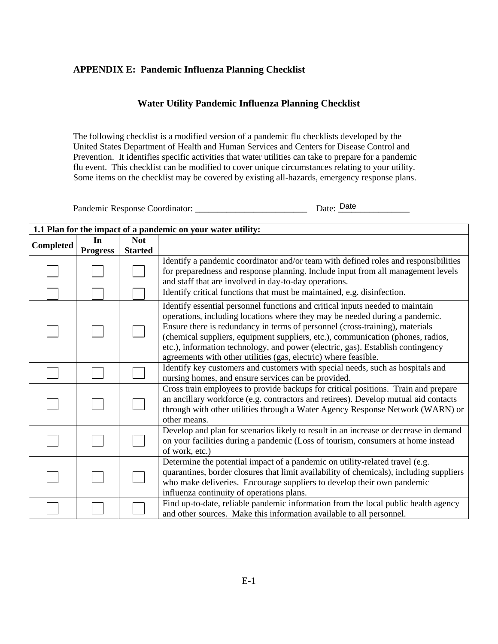#### **APPENDIX E: Pandemic Influenza Planning Checklist**

#### **Water Utility Pandemic Influenza Planning Checklist**

The following checklist is a modified version of a pandemic flu checklists developed by the United States Department of Health and Human Services and Centers for Disease Control and Prevention. It identifies specific activities that water utilities can take to prepare for a pandemic flu event. This checklist can be modified to cover unique circumstances relating to your utility. Some items on the checklist may be covered by existing all-hazards, emergency response plans.

Pandemic Response Coordinator: \_\_\_\_\_\_\_\_\_\_\_\_\_\_\_\_\_\_\_\_\_\_\_\_\_ Date: \_\_\_\_\_\_\_\_\_\_\_\_\_\_\_\_ Date

**1.1 Plan for the impact of a pandemic on your water utility: Completed In Progress Not Started** Identify a pandemic coordinator and/or team with defined roles and responsibilities for preparedness and response planning. Include input from all management levels and staff that are involved in day-to-day operations. Identify critical functions that must be maintained, e.g. disinfection. Identify essential personnel functions and critical inputs needed to maintain operations, including locations where they may be needed during a pandemic. Ensure there is redundancy in terms of personnel (cross-training), materials (chemical suppliers, equipment suppliers, etc.), communication (phones, radios, etc.), information technology, and power (electric, gas). Establish contingency agreements with other utilities (gas, electric) where feasible. Identify key customers and customers with special needs, such as hospitals and nursing homes, and ensure services can be provided. Cross train employees to provide backups for critical positions. Train and prepare an ancillary workforce (e.g. contractors and retirees). Develop mutual aid contacts through with other utilities through a Water Agency Response Network (WARN) or other means. Develop and plan for scenarios likely to result in an increase or decrease in demand on your facilities during a pandemic (Loss of tourism, consumers at home instead of work, etc.) Determine the potential impact of a pandemic on utility-related travel (e.g. quarantines, border closures that limit availability of chemicals), including suppliers who make deliveries. Encourage suppliers to develop their own pandemic influenza continuity of operations plans. Find up-to-date, reliable pandemic information from the local public health agency and other sources. Make this information available to all personnel.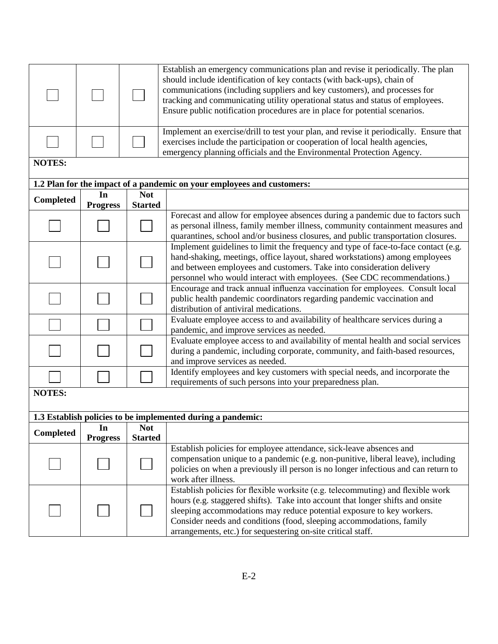|               |                 | Establish an emergency communications plan and revise it periodically. The plan<br>should include identification of key contacts (with back-ups), chain of<br>communications (including suppliers and key customers), and processes for<br>tracking and communicating utility operational status and status of employees.<br>Ensure public notification procedures are in place for potential scenarios. |                                                                                                                                                                                                                                                                                                                                                                                    |  |  |  |
|---------------|-----------------|----------------------------------------------------------------------------------------------------------------------------------------------------------------------------------------------------------------------------------------------------------------------------------------------------------------------------------------------------------------------------------------------------------|------------------------------------------------------------------------------------------------------------------------------------------------------------------------------------------------------------------------------------------------------------------------------------------------------------------------------------------------------------------------------------|--|--|--|
|               |                 | Implement an exercise/drill to test your plan, and revise it periodically. Ensure that<br>exercises include the participation or cooperation of local health agencies,<br>emergency planning officials and the Environmental Protection Agency.                                                                                                                                                          |                                                                                                                                                                                                                                                                                                                                                                                    |  |  |  |
| <b>NOTES:</b> |                 |                                                                                                                                                                                                                                                                                                                                                                                                          |                                                                                                                                                                                                                                                                                                                                                                                    |  |  |  |
|               |                 |                                                                                                                                                                                                                                                                                                                                                                                                          | 1.2 Plan for the impact of a pandemic on your employees and customers:                                                                                                                                                                                                                                                                                                             |  |  |  |
|               | In              | <b>Not</b>                                                                                                                                                                                                                                                                                                                                                                                               |                                                                                                                                                                                                                                                                                                                                                                                    |  |  |  |
| Completed     | <b>Progress</b> | <b>Started</b>                                                                                                                                                                                                                                                                                                                                                                                           |                                                                                                                                                                                                                                                                                                                                                                                    |  |  |  |
|               |                 |                                                                                                                                                                                                                                                                                                                                                                                                          | Forecast and allow for employee absences during a pandemic due to factors such<br>as personal illness, family member illness, community containment measures and<br>quarantines, school and/or business closures, and public transportation closures.                                                                                                                              |  |  |  |
|               |                 |                                                                                                                                                                                                                                                                                                                                                                                                          | Implement guidelines to limit the frequency and type of face-to-face contact (e.g.<br>hand-shaking, meetings, office layout, shared workstations) among employees<br>and between employees and customers. Take into consideration delivery<br>personnel who would interact with employees. (See CDC recommendations.)                                                              |  |  |  |
|               |                 |                                                                                                                                                                                                                                                                                                                                                                                                          | Encourage and track annual influenza vaccination for employees. Consult local<br>public health pandemic coordinators regarding pandemic vaccination and<br>distribution of antiviral medications.                                                                                                                                                                                  |  |  |  |
|               |                 |                                                                                                                                                                                                                                                                                                                                                                                                          | Evaluate employee access to and availability of healthcare services during a<br>pandemic, and improve services as needed.                                                                                                                                                                                                                                                          |  |  |  |
|               |                 | Evaluate employee access to and availability of mental health and social services<br>during a pandemic, including corporate, community, and faith-based resources,<br>and improve services as needed.                                                                                                                                                                                                    |                                                                                                                                                                                                                                                                                                                                                                                    |  |  |  |
|               |                 |                                                                                                                                                                                                                                                                                                                                                                                                          | Identify employees and key customers with special needs, and incorporate the<br>requirements of such persons into your preparedness plan.                                                                                                                                                                                                                                          |  |  |  |
| <b>NOTES:</b> |                 |                                                                                                                                                                                                                                                                                                                                                                                                          |                                                                                                                                                                                                                                                                                                                                                                                    |  |  |  |
|               |                 |                                                                                                                                                                                                                                                                                                                                                                                                          | 1.3 Establish policies to be implemented during a pandemic:                                                                                                                                                                                                                                                                                                                        |  |  |  |
|               | In              | <b>Not</b>                                                                                                                                                                                                                                                                                                                                                                                               |                                                                                                                                                                                                                                                                                                                                                                                    |  |  |  |
| Completed     | <b>Progress</b> | <b>Started</b>                                                                                                                                                                                                                                                                                                                                                                                           |                                                                                                                                                                                                                                                                                                                                                                                    |  |  |  |
|               |                 |                                                                                                                                                                                                                                                                                                                                                                                                          | Establish policies for employee attendance, sick-leave absences and<br>compensation unique to a pandemic (e.g. non-punitive, liberal leave), including<br>policies on when a previously ill person is no longer infectious and can return to<br>work after illness.                                                                                                                |  |  |  |
|               |                 |                                                                                                                                                                                                                                                                                                                                                                                                          | Establish policies for flexible worksite (e.g. telecommuting) and flexible work<br>hours (e.g. staggered shifts). Take into account that longer shifts and onsite<br>sleeping accommodations may reduce potential exposure to key workers.<br>Consider needs and conditions (food, sleeping accommodations, family<br>arrangements, etc.) for sequestering on-site critical staff. |  |  |  |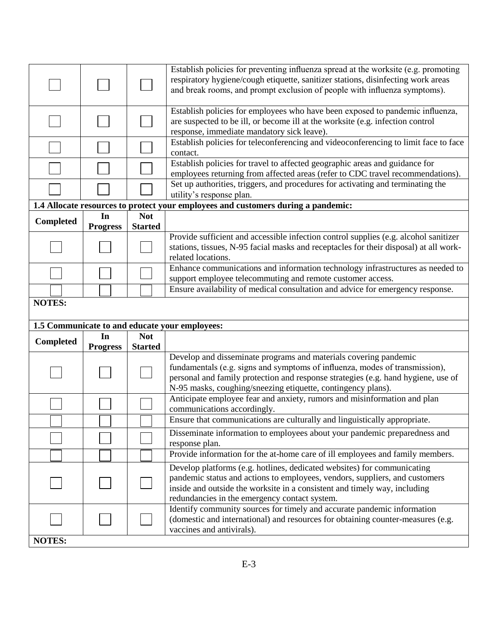|                                                                 |                 |                | Establish policies for preventing influenza spread at the worksite (e.g. promoting<br>respiratory hygiene/cough etiquette, sanitizer stations, disinfecting work areas<br>and break rooms, and prompt exclusion of people with influenza symptoms).                                                  |  |
|-----------------------------------------------------------------|-----------------|----------------|------------------------------------------------------------------------------------------------------------------------------------------------------------------------------------------------------------------------------------------------------------------------------------------------------|--|
|                                                                 |                 |                | Establish policies for employees who have been exposed to pandemic influenza,<br>are suspected to be ill, or become ill at the worksite (e.g. infection control<br>response, immediate mandatory sick leave).                                                                                        |  |
|                                                                 |                 |                | Establish policies for teleconferencing and videoconferencing to limit face to face<br>contact.                                                                                                                                                                                                      |  |
|                                                                 |                 |                | Establish policies for travel to affected geographic areas and guidance for<br>employees returning from affected areas (refer to CDC travel recommendations).                                                                                                                                        |  |
|                                                                 |                 |                | Set up authorities, triggers, and procedures for activating and terminating the<br>utility's response plan.                                                                                                                                                                                          |  |
|                                                                 |                 |                | 1.4 Allocate resources to protect your employees and customers during a pandemic:                                                                                                                                                                                                                    |  |
| <b>Completed</b>                                                | In              | <b>Not</b>     |                                                                                                                                                                                                                                                                                                      |  |
|                                                                 | <b>Progress</b> | <b>Started</b> |                                                                                                                                                                                                                                                                                                      |  |
|                                                                 |                 |                | Provide sufficient and accessible infection control supplies (e.g. alcohol sanitizer<br>stations, tissues, N-95 facial masks and receptacles for their disposal) at all work-<br>related locations.                                                                                                  |  |
|                                                                 |                 |                | Enhance communications and information technology infrastructures as needed to<br>support employee telecommuting and remote customer access.                                                                                                                                                         |  |
|                                                                 |                 |                | Ensure availability of medical consultation and advice for emergency response.                                                                                                                                                                                                                       |  |
| <b>NOTES:</b><br>1.5 Communicate to and educate your employees: |                 |                |                                                                                                                                                                                                                                                                                                      |  |
| Completed                                                       | In              | <b>Not</b>     |                                                                                                                                                                                                                                                                                                      |  |
|                                                                 | <b>Progress</b> | <b>Started</b> |                                                                                                                                                                                                                                                                                                      |  |
|                                                                 |                 |                | Develop and disseminate programs and materials covering pandemic<br>fundamentals (e.g. signs and symptoms of influenza, modes of transmission),<br>personal and family protection and response strategies (e.g. hand hygiene, use of<br>N-95 masks, coughing/sneezing etiquette, contingency plans). |  |
|                                                                 |                 |                | Anticipate employee fear and anxiety, rumors and misinformation and plan<br>communications accordingly.                                                                                                                                                                                              |  |
|                                                                 |                 |                | Ensure that communications are culturally and linguistically appropriate.                                                                                                                                                                                                                            |  |
|                                                                 |                 |                | Disseminate information to employees about your pandemic preparedness and<br>response plan.                                                                                                                                                                                                          |  |
|                                                                 |                 |                | Provide information for the at-home care of ill employees and family members.                                                                                                                                                                                                                        |  |
|                                                                 |                 |                | Develop platforms (e.g. hotlines, dedicated websites) for communicating<br>pandemic status and actions to employees, vendors, suppliers, and customers<br>inside and outside the worksite in a consistent and timely way, including<br>redundancies in the emergency contact system.                 |  |
|                                                                 |                 |                | Identify community sources for timely and accurate pandemic information                                                                                                                                                                                                                              |  |
| <b>NOTES:</b>                                                   |                 |                | (domestic and international) and resources for obtaining counter-measures (e.g.<br>vaccines and antivirals).                                                                                                                                                                                         |  |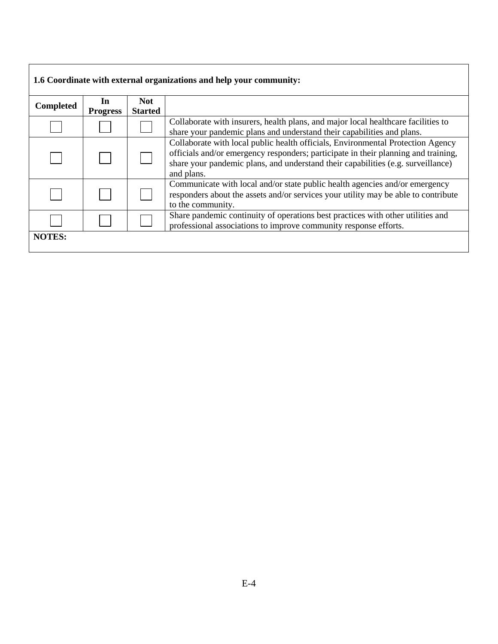| 1.6 Coordinate with external organizations and help your community: |                       |                              |                                                                                                                                                                                                                                                                         |  |
|---------------------------------------------------------------------|-----------------------|------------------------------|-------------------------------------------------------------------------------------------------------------------------------------------------------------------------------------------------------------------------------------------------------------------------|--|
| Completed                                                           | In<br><b>Progress</b> | <b>Not</b><br><b>Started</b> |                                                                                                                                                                                                                                                                         |  |
|                                                                     |                       |                              | Collaborate with insurers, health plans, and major local healthcare facilities to<br>share your pandemic plans and understand their capabilities and plans.                                                                                                             |  |
|                                                                     |                       |                              | Collaborate with local public health officials, Environmental Protection Agency<br>officials and/or emergency responders; participate in their planning and training,<br>share your pandemic plans, and understand their capabilities (e.g. surveillance)<br>and plans. |  |
|                                                                     |                       |                              | Communicate with local and/or state public health agencies and/or emergency<br>responders about the assets and/or services your utility may be able to contribute<br>to the community.                                                                                  |  |
|                                                                     |                       |                              | Share pandemic continuity of operations best practices with other utilities and<br>professional associations to improve community response efforts.                                                                                                                     |  |
| <b>NOTES:</b>                                                       |                       |                              |                                                                                                                                                                                                                                                                         |  |

 $\overline{\phantom{a}}$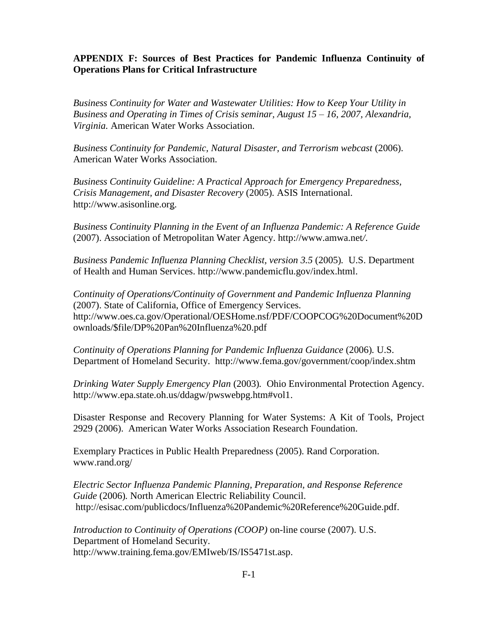#### **APPENDIX F: Sources of Best Practices for Pandemic Influenza Continuity of Operations Plans for Critical Infrastructure**

*Business Continuity for Water and Wastewater Utilities: How to Keep Your Utility in Business and Operating in Times of Crisis seminar, August 15 – 16, 2007, Alexandria, Virginia.* American Water Works Association.

*Business Continuity for Pandemic, Natural Disaster, and Terrorism webcast* (2006). American Water Works Association.

*Business Continuity Guideline: A Practical Approach for Emergency Preparedness, Crisis Management, and Disaster Recovery* (2005)*.* ASIS International. http:/[/www.asisonline.org.](http://www.asisonline.org/)

*Business Continuity Planning in the Event of an Influenza Pandemic: A Reference Guide* (2007). Association of Metropolitan Water Agency. http://www.amwa.net*/*.

*Business Pandemic Influenza Planning Checklist, version 3.5* (2005)*.* U.S. Department of Health and Human Services. [http://www.pandemicflu.gov/index.html.](http://www.pandemicflu.gov/index.html)

*Continuity of Operations/Continuity of Government and Pandemic Influenza Planning* (2007). State of California, Office of Emergency Services. http://www.oes.ca.gov/Operational/OESHome.nsf/PDF/COOPCOG%20Document%20D ownloads/\$file/DP%20Pan%20Influenza%20.pdf

*Continuity of Operations Planning for Pandemic Influenza Guidance* (2006)*.* U.S. Department of Homeland Security. http://www.fema.gov/government/coop/index.shtm

*Drinking Water Supply Emergency Plan* (2003)*.* Ohio Environmental Protection Agency. [http://www.epa.state.oh.us/ddagw/pwswebpg.htm#vol1.](http://www.epa.state.oh.us/ddagw/pwswebpg.htm#vol1)

Disaster Response and Recovery Planning for Water Systems: A Kit of Tools, Project 2929 (2006). American Water Works Association Research Foundation.

Exemplary Practices in Public Health Preparedness (2005). Rand Corporation. www.rand.org/

*Electric Sector Influenza Pandemic Planning, Preparation, and Response Reference Guide* (2006)*.* North American Electric Reliability Council. http://esisac.com/publicdocs/Influenza%20Pandemic%20Reference%20Guide.pdf.

*Introduction to Continuity of Operations (COOP)* on-line course (2007). U.S. Department of Homeland Security. http://www.training.fema.gov/EMIweb/IS/IS5471st.asp.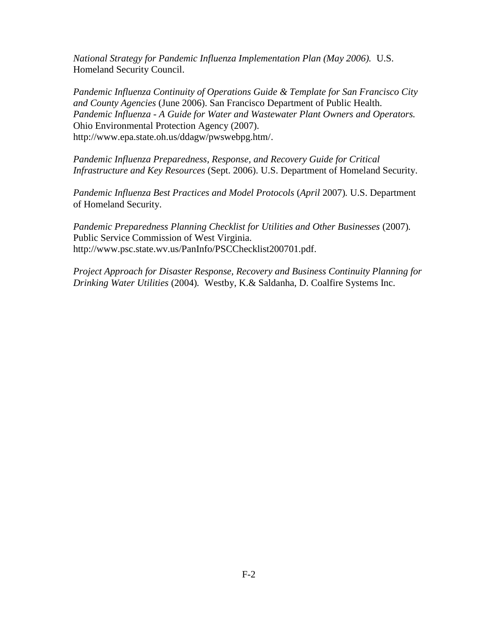*National Strategy for Pandemic Influenza Implementation Plan (May 2006).* U.S. Homeland Security Council.

*Pandemic Influenza Continuity of Operations Guide & Template for San Francisco City and County Agencies* (June 2006). San Francisco Department of Public Health. *Pandemic Influenza - A Guide for Water and Wastewater Plant Owners and Operators.* Ohio Environmental Protection Agency (2007). [http://www.epa.state.oh.us/ddagw/pwswebpg.htm/.](http://www.epa.state.oh.us/ddagw/pwswebpg.htm/)

*Pandemic Influenza Preparedness, Response, and Recovery Guide for Critical Infrastructure and Key Resources* (Sept. 2006). U.S. Department of Homeland Security.

*Pandemic Influenza Best Practices and Model Protocols* (*April* 2007)*.* U.S. Department of Homeland Security.

*Pandemic Preparedness Planning Checklist for Utilities and Other Businesses* (2007)*.* Public Service Commission of West Virginia. http://www.psc.state.wv.us/PanInfo/PSCChecklist200701.pdf.

*Project Approach for Disaster Response, Recovery and Business Continuity Planning for Drinking Water Utilities* (2004)*.* Westby, K.& Saldanha, D. Coalfire Systems Inc.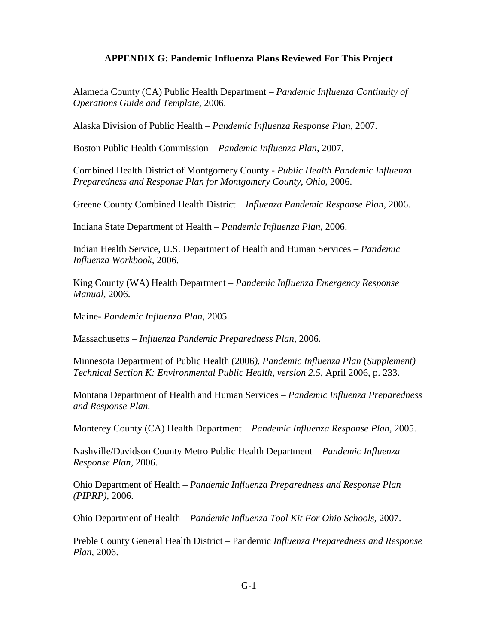#### **APPENDIX G: Pandemic Influenza Plans Reviewed For This Project**

Alameda County (CA) Public Health Department – *Pandemic Influenza Continuity of Operations Guide and Template*, 2006.

Alaska Division of Public Health – *Pandemic Influenza Response Plan*, 2007.

Boston Public Health Commission – *Pandemic Influenza Plan*, 2007.

Combined Health District of Montgomery County - *Public Health Pandemic Influenza Preparedness and Response Plan for Montgomery County, Ohio*, 2006.

Greene County Combined Health District – *Influenza Pandemic Response Plan*, 2006.

Indiana State Department of Health – *Pandemic Influenza Plan,* 2006.

Indian Health Service, U.S. Department of Health and Human Services – *Pandemic Influenza Workbook,* 2006.

King County (WA) Health Department – *Pandemic Influenza Emergency Response Manual,* 2006.

Maine- *Pandemic Influenza Plan*, 2005.

Massachusetts – *Influenza Pandemic Preparedness Plan,* 2006.

Minnesota Department of Public Health (2006*). Pandemic Influenza Plan (Supplement) Technical Section K: Environmental Public Health, version 2.5*, April 2006, p. 233.

Montana Department of Health and Human Services – *Pandemic Influenza Preparedness and Response Plan.* 

Monterey County (CA) Health Department – *Pandemic Influenza Response Plan,* 2005.

Nashville/Davidson County Metro Public Health Department – *Pandemic Influenza Response Plan,* 2006.

Ohio Department of Health – *Pandemic Influenza Preparedness and Response Plan (PIPRP),* 2006.

Ohio Department of Health – *Pandemic Influenza Tool Kit For Ohio Schools,* 2007.

Preble County General Health District – Pandemic *Influenza Preparedness and Response Plan*, 2006.